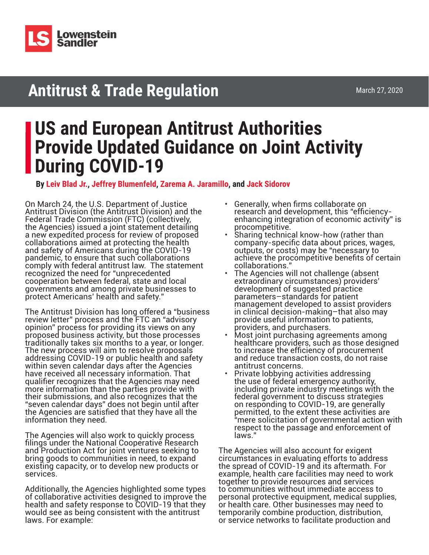

# **Antitrust & Trade Regulation**

## **US and European Antitrust Authorities Provide Updated Guidance on Joint Activity During COVID-19**

**By [Leiv Blad Jr.](https://www.lowenstein.com/people/attorneys/leiv-blad), [Jeffrey Blumenfeld](https://www.lowenstein.com/people/attorneys/jeffrey-blumenfeld), [Zarema A. Jaramillo](https://www.lowenstein.com/people/attorneys/zarema-jaramillo), and [Jack Sidorov](https://www.lowenstein.com/people/attorneys/jack-sidorov)**

On March 24, the U.S. Department of Justice Antitrust Division (the Antitrust Division) and the Federal Trade Commission (FTC) (collectively, the Agencies) issued a joint statement detailing a new expedited process for review of proposed collaborations aimed at protecting the health and safety of Americans during the COVID-19 pandemic, to ensure that such collaborations comply with federal antitrust law. The statement recognized the need for "unprecedented cooperation between federal, state and local governments and among private businesses to protect Americans' health and safety."

The Antitrust Division has long offered a "business review letter" process and the FTC an "advisory opinion" process for providing its views on any proposed business activity, but those processes traditionally takes six months to a year, or longer. The new process will aim to resolve proposals addressing COVID-19 or public health and safety within seven calendar days after the Agencies have received all necessary information. That qualifier recognizes that the Agencies may need more information than the parties provide with their submissions, and also recognizes that the "seven calendar days" does not begin until after the Agencies are satisfied that they have all the information they need.

The Agencies will also work to quickly process filings under the National Cooperative Research and Production Act for joint ventures seeking to bring goods to communities in need, to expand existing capacity, or to develop new products or services.

Additionally, the Agencies highlighted some types of collaborative activities designed to improve the health and safety response to COVID-19 that they would see as being consistent with the antitrust laws. For example:

- Generally, when firms collaborate on research and development, this "efficiencyenhancing integration of economic activity" is
- procompetitive.<br>Sharing technical know-how (rather than company-specific data about prices, wages, outputs, or costs) may be "necessary to achieve the procompetitive benefits of certain collaborations."
- The Agencies will not challenge (absent extraordinary circumstances) providers' development of suggested practice parameters–standards for patient management developed to assist providers in clinical decision-making–that also may provide useful information to patients,<br>providers, and purchasers.
- Most joint purchasing agreements among healthcare providers, such as those designed to increase the efficiency of procurement and reduce transaction costs, do not raise
- Private lobbying activities addressing the use of federal emergency authority, including private industry meetings with the federal government to discuss strategies on responding to COVID-19, are generally permitted, to the extent these activities are "mere solicitation of governmental action with respect to the passage and enforcement of laws."

The Agencies will also account for exigent circumstances in evaluating efforts to address the spread of COVID-19 and its aftermath. For example, health care facilities may need to work together to provide resources and services to communities without immediate access to personal protective equipment, medical supplies, or health care. Other businesses may need to temporarily combine production, distribution, or service networks to facilitate production and